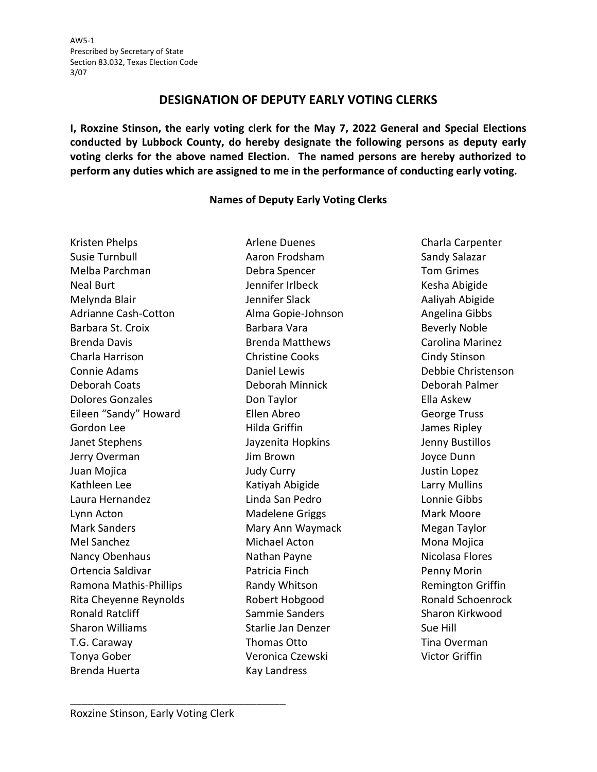## **DESIGNATION OF DEPUTY EARLY VOTING CLERKS**

**I, Roxzine Stinson, the early voting clerk for the May 7, 2022 General and Special Elections conducted by Lubbock County, do hereby designate the following persons as deputy early voting clerks for the above named Election. The named persons are hereby authorized to perform any duties which are assigned to me in the performance of conducting early voting.**

## **Names of Deputy Early Voting Clerks**

Kristen Phelps **Arlene Duenes** Charla Carpenter Susie Turnbull Aaron Frodsham Sandy Salazar Melba Parchman Debra Spencer Tom Grimes Neal Burt Jennifer Irlbeck Kesha Abigide Melynda Blair Jennifer Slack Aaliyah Abigide Adrianne Cash-Cotton **Alma Gopie-Johnson** Angelina Gibbs Barbara St. Croix **Barbara Vara Barbara Vara** Beverly Noble Brenda Davis **Brenda Matthews** Carolina Marinez Charla Harrison Christine Cooks Cindy Stinson Connie Adams Daniel Lewis Debbie Christenson Deborah Coats Deborah Minnick Deborah Palmer Dolores Gonzales Don Taylor Ella Askew Eileen "Sandy" Howard Ellen Abreo George Truss Gordon Lee **Hilda Griffin** Hilda Griffin James Ripley Janet Stephens Jayzenita Hopkins Jenny Bustillos Jerry Overman Jim Brown Joyce Dunn Juan Mojica Judy Curry Justin Lopez Kathleen Lee **Katiyah Abigide** Larry Mullins Laura Hernandez Linda San Pedro Lonnie Gibbs Lynn Acton **Matelene Griggs** Mark Moore Mark Sanders **Mary Ann Waymack** Megan Taylor Mel Sanchez Michael Acton Mona Mojica Nancy Obenhaus **Nathan Payne** Nicolasa Flores Ortencia Saldivar Patricia Finch Penny Morin Ramona Mathis-Phillips **Randy Whitson** Remington Griffin Rita Cheyenne Reynolds **Robert Hobgood** Robert Rohand Schoenrock Ronald Ratcliff **Sammie Sanders** Sharon Kirkwood Sharon Williams Starlie Jan Denzer Sue Hill T.G. Caraway Thomas Otto Thomas Otto Tina Overman Tonya Gober Veronica Czewski Victor Griffin Brenda Huerta Kay Landress

\_\_\_\_\_\_\_\_\_\_\_\_\_\_\_\_\_\_\_\_\_\_\_\_\_\_\_\_\_\_\_\_\_\_\_\_\_